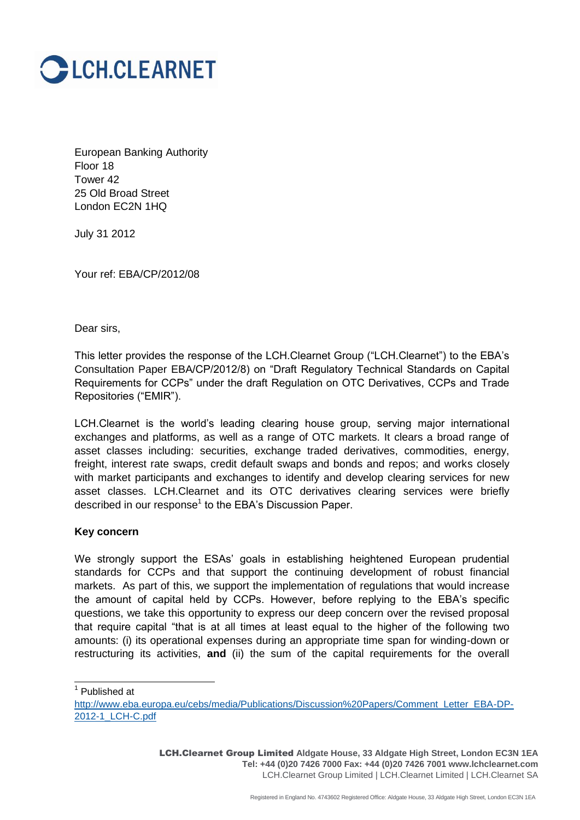

European Banking Authority Floor 18 Tower 42 25 Old Broad Street London EC2N 1HQ

July 31 2012

Your ref: EBA/CP/2012/08

Dear sirs,

This letter provides the response of the LCH.Clearnet Group ("LCH.Clearnet") to the EBA"s Consultation Paper EBA/CP/2012/8) on "Draft Regulatory Technical Standards on Capital Requirements for CCPs" under the draft Regulation on OTC Derivatives, CCPs and Trade Repositories ("EMIR").

LCH.Clearnet is the world"s leading clearing house group, serving major international exchanges and platforms, as well as a range of OTC markets. It clears a broad range of asset classes including: securities, exchange traded derivatives, commodities, energy, freight, interest rate swaps, credit default swaps and bonds and repos; and works closely with market participants and exchanges to identify and develop clearing services for new asset classes. LCH.Clearnet and its OTC derivatives clearing services were briefly described in our response<sup>1</sup> to the EBA's Discussion Paper.

#### **Key concern**

We strongly support the ESAs' goals in establishing heightened European prudential standards for CCPs and that support the continuing development of robust financial markets. As part of this, we support the implementation of regulations that would increase the amount of capital held by CCPs. However, before replying to the EBA"s specific questions, we take this opportunity to express our deep concern over the revised proposal that require capital "that is at all times at least equal to the higher of the following two amounts: (i) its operational expenses during an appropriate time span for winding-down or restructuring its activities, **and** (ii) the sum of the capital requirements for the overall

1 Published at

LCH.Clearnet Group Limited **Aldgate House, 33 Aldgate High Street, London EC3N 1EA Tel: +44 (0)20 7426 7000 Fax: +44 (0)20 7426 7001 www.lchclearnet.com** LCH.Clearnet Group Limited | LCH.Clearnet Limited | LCH.Clearnet SA

[http://www.eba.europa.eu/cebs/media/Publications/Discussion%20Papers/Comment\\_Letter\\_EBA-DP-](http://www.eba.europa.eu/cebs/media/Publications/Discussion%20Papers/Comment_Letter_EBA-DP-2012-1_LCH-C.pdf)[2012-1\\_LCH-C.pdf](http://www.eba.europa.eu/cebs/media/Publications/Discussion%20Papers/Comment_Letter_EBA-DP-2012-1_LCH-C.pdf)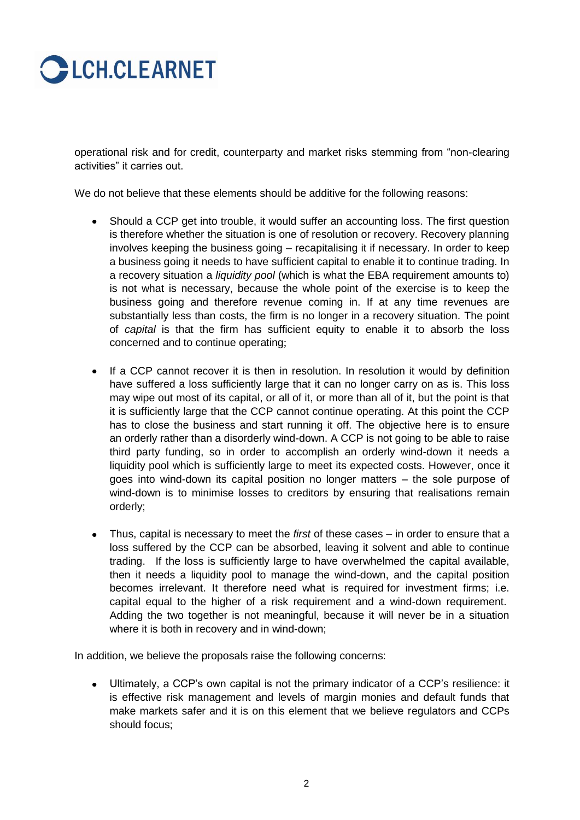# **CECH.CLEARNET**

operational risk and for credit, counterparty and market risks stemming from "non-clearing activities" it carries out.

We do not believe that these elements should be additive for the following reasons:

- Should a CCP get into trouble, it would suffer an accounting loss. The first question is therefore whether the situation is one of resolution or recovery. Recovery planning involves keeping the business going – recapitalising it if necessary. In order to keep a business going it needs to have sufficient capital to enable it to continue trading. In a recovery situation a *liquidity pool* (which is what the EBA requirement amounts to) is not what is necessary, because the whole point of the exercise is to keep the business going and therefore revenue coming in. If at any time revenues are substantially less than costs, the firm is no longer in a recovery situation. The point of *capital* is that the firm has sufficient equity to enable it to absorb the loss concerned and to continue operating;
- If a CCP cannot recover it is then in resolution. In resolution it would by definition have suffered a loss sufficiently large that it can no longer carry on as is. This loss may wipe out most of its capital, or all of it, or more than all of it, but the point is that it is sufficiently large that the CCP cannot continue operating. At this point the CCP has to close the business and start running it off. The objective here is to ensure an orderly rather than a disorderly wind-down. A CCP is not going to be able to raise third party funding, so in order to accomplish an orderly wind-down it needs a liquidity pool which is sufficiently large to meet its expected costs. However, once it goes into wind-down its capital position no longer matters – the sole purpose of wind-down is to minimise losses to creditors by ensuring that realisations remain orderly;
- Thus, capital is necessary to meet the *first* of these cases in order to ensure that a loss suffered by the CCP can be absorbed, leaving it solvent and able to continue trading. If the loss is sufficiently large to have overwhelmed the capital available, then it needs a liquidity pool to manage the wind-down, and the capital position becomes irrelevant. It therefore need what is required for investment firms; i.e. capital equal to the higher of a risk requirement and a wind-down requirement. Adding the two together is not meaningful, because it will never be in a situation where it is both in recovery and in wind-down;

In addition, we believe the proposals raise the following concerns:

Ultimately, a CCP"s own capital is not the primary indicator of a CCP"s resilience: it  $\bullet$ is effective risk management and levels of margin monies and default funds that make markets safer and it is on this element that we believe regulators and CCPs should focus;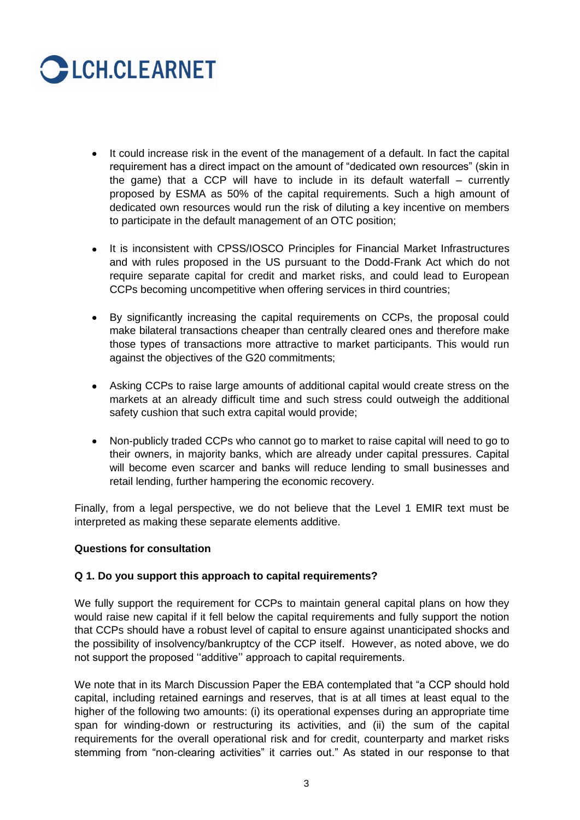

- It could increase risk in the event of the management of a default. In fact the capital requirement has a direct impact on the amount of "dedicated own resources" (skin in the game) that a CCP will have to include in its default waterfall – currently proposed by ESMA as 50% of the capital requirements. Such a high amount of dedicated own resources would run the risk of diluting a key incentive on members to participate in the default management of an OTC position;
- It is inconsistent with CPSS/IOSCO Principles for Financial Market Infrastructures and with rules proposed in the US pursuant to the Dodd-Frank Act which do not require separate capital for credit and market risks, and could lead to European CCPs becoming uncompetitive when offering services in third countries;
- By significantly increasing the capital requirements on CCPs, the proposal could  $\bullet$ make bilateral transactions cheaper than centrally cleared ones and therefore make those types of transactions more attractive to market participants. This would run against the objectives of the G20 commitments;
- Asking CCPs to raise large amounts of additional capital would create stress on the markets at an already difficult time and such stress could outweigh the additional safety cushion that such extra capital would provide;
- Non-publicly traded CCPs who cannot go to market to raise capital will need to go to their owners, in majority banks, which are already under capital pressures. Capital will become even scarcer and banks will reduce lending to small businesses and retail lending, further hampering the economic recovery.

Finally, from a legal perspective, we do not believe that the Level 1 EMIR text must be interpreted as making these separate elements additive.

## **Questions for consultation**

## **Q 1. Do you support this approach to capital requirements?**

We fully support the requirement for CCPs to maintain general capital plans on how they would raise new capital if it fell below the capital requirements and fully support the notion that CCPs should have a robust level of capital to ensure against unanticipated shocks and the possibility of insolvency/bankruptcy of the CCP itself. However, as noted above, we do not support the proposed "additive" approach to capital requirements.

We note that in its March Discussion Paper the EBA contemplated that "a CCP should hold capital, including retained earnings and reserves, that is at all times at least equal to the higher of the following two amounts: (i) its operational expenses during an appropriate time span for winding-down or restructuring its activities, and (ii) the sum of the capital requirements for the overall operational risk and for credit, counterparty and market risks stemming from "non-clearing activities" it carries out." As stated in our response to that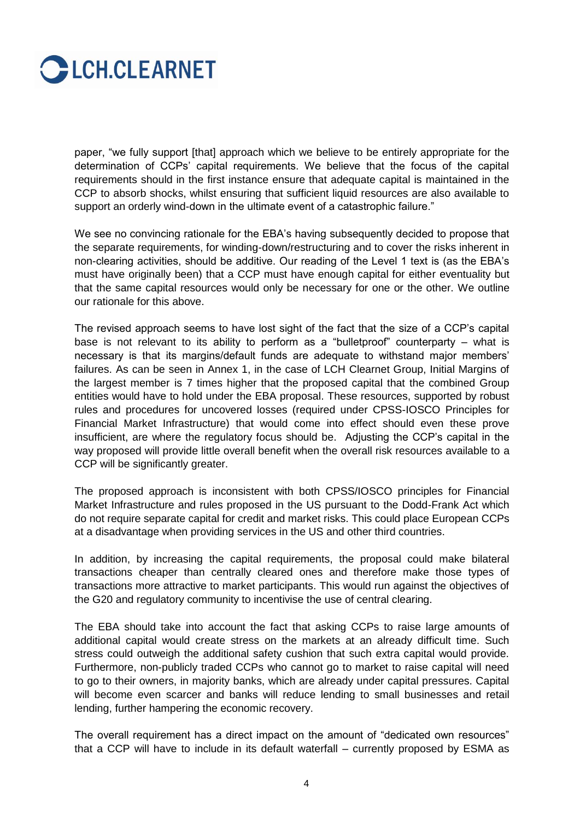

paper, "we fully support [that] approach which we believe to be entirely appropriate for the determination of CCPs" capital requirements. We believe that the focus of the capital requirements should in the first instance ensure that adequate capital is maintained in the CCP to absorb shocks, whilst ensuring that sufficient liquid resources are also available to support an orderly wind-down in the ultimate event of a catastrophic failure."

We see no convincing rationale for the EBA's having subsequently decided to propose that the separate requirements, for winding-down/restructuring and to cover the risks inherent in non-clearing activities, should be additive. Our reading of the Level 1 text is (as the EBA"s must have originally been) that a CCP must have enough capital for either eventuality but that the same capital resources would only be necessary for one or the other. We outline our rationale for this above.

The revised approach seems to have lost sight of the fact that the size of a CCP"s capital base is not relevant to its ability to perform as a "bulletproof" counterparty – what is necessary is that its margins/default funds are adequate to withstand major members" failures. As can be seen in Annex 1, in the case of LCH Clearnet Group, Initial Margins of the largest member is 7 times higher that the proposed capital that the combined Group entities would have to hold under the EBA proposal. These resources, supported by robust rules and procedures for uncovered losses (required under CPSS-IOSCO Principles for Financial Market Infrastructure) that would come into effect should even these prove insufficient, are where the regulatory focus should be. Adjusting the CCP"s capital in the way proposed will provide little overall benefit when the overall risk resources available to a CCP will be significantly greater.

The proposed approach is inconsistent with both CPSS/IOSCO principles for Financial Market Infrastructure and rules proposed in the US pursuant to the Dodd-Frank Act which do not require separate capital for credit and market risks. This could place European CCPs at a disadvantage when providing services in the US and other third countries.

In addition, by increasing the capital requirements, the proposal could make bilateral transactions cheaper than centrally cleared ones and therefore make those types of transactions more attractive to market participants. This would run against the objectives of the G20 and regulatory community to incentivise the use of central clearing.

The EBA should take into account the fact that asking CCPs to raise large amounts of additional capital would create stress on the markets at an already difficult time. Such stress could outweigh the additional safety cushion that such extra capital would provide. Furthermore, non-publicly traded CCPs who cannot go to market to raise capital will need to go to their owners, in majority banks, which are already under capital pressures. Capital will become even scarcer and banks will reduce lending to small businesses and retail lending, further hampering the economic recovery.

The overall requirement has a direct impact on the amount of "dedicated own resources" that a CCP will have to include in its default waterfall – currently proposed by ESMA as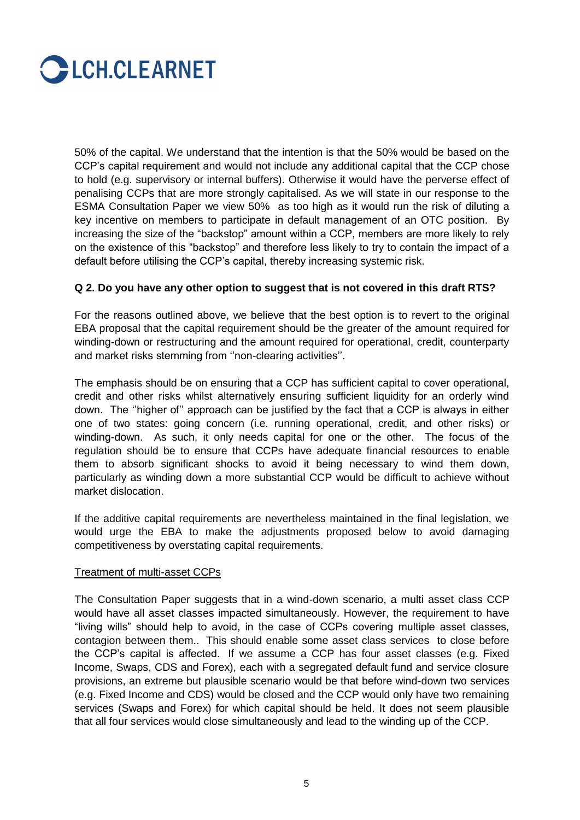

50% of the capital. We understand that the intention is that the 50% would be based on the CCP"s capital requirement and would not include any additional capital that the CCP chose to hold (e.g. supervisory or internal buffers). Otherwise it would have the perverse effect of penalising CCPs that are more strongly capitalised. As we will state in our response to the ESMA Consultation Paper we view 50% as too high as it would run the risk of diluting a key incentive on members to participate in default management of an OTC position. By increasing the size of the "backstop" amount within a CCP, members are more likely to rely on the existence of this "backstop" and therefore less likely to try to contain the impact of a default before utilising the CCP"s capital, thereby increasing systemic risk.

## **Q 2. Do you have any other option to suggest that is not covered in this draft RTS?**

For the reasons outlined above, we believe that the best option is to revert to the original EBA proposal that the capital requirement should be the greater of the amount required for winding-down or restructuring and the amount required for operational, credit, counterparty and market risks stemming from "non-clearing activities".

The emphasis should be on ensuring that a CCP has sufficient capital to cover operational, credit and other risks whilst alternatively ensuring sufficient liquidity for an orderly wind down. The "higher of" approach can be justified by the fact that a CCP is always in either one of two states: going concern (i.e. running operational, credit, and other risks) or winding-down. As such, it only needs capital for one or the other. The focus of the regulation should be to ensure that CCPs have adequate financial resources to enable them to absorb significant shocks to avoid it being necessary to wind them down, particularly as winding down a more substantial CCP would be difficult to achieve without market dislocation.

If the additive capital requirements are nevertheless maintained in the final legislation, we would urge the EBA to make the adjustments proposed below to avoid damaging competitiveness by overstating capital requirements.

#### Treatment of multi-asset CCPs

The Consultation Paper suggests that in a wind-down scenario, a multi asset class CCP would have all asset classes impacted simultaneously. However, the requirement to have "living wills" should help to avoid, in the case of CCPs covering multiple asset classes, contagion between them.. This should enable some asset class services to close before the CCP"s capital is affected. If we assume a CCP has four asset classes (e.g. Fixed Income, Swaps, CDS and Forex), each with a segregated default fund and service closure provisions, an extreme but plausible scenario would be that before wind-down two services (e.g. Fixed Income and CDS) would be closed and the CCP would only have two remaining services (Swaps and Forex) for which capital should be held. It does not seem plausible that all four services would close simultaneously and lead to the winding up of the CCP.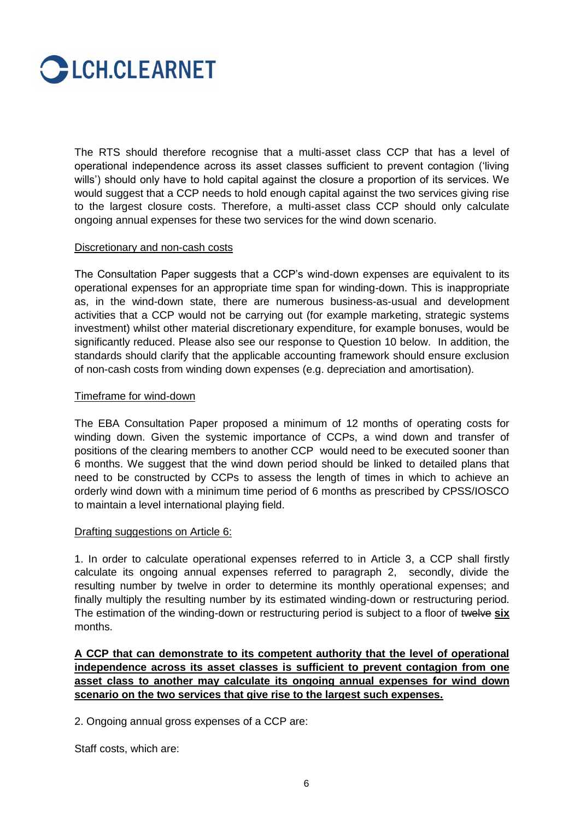

The RTS should therefore recognise that a multi-asset class CCP that has a level of operational independence across its asset classes sufficient to prevent contagion ("living wills") should only have to hold capital against the closure a proportion of its services. We would suggest that a CCP needs to hold enough capital against the two services giving rise to the largest closure costs. Therefore, a multi-asset class CCP should only calculate ongoing annual expenses for these two services for the wind down scenario.

#### Discretionary and non-cash costs

The Consultation Paper suggests that a CCP"s wind-down expenses are equivalent to its operational expenses for an appropriate time span for winding-down. This is inappropriate as, in the wind-down state, there are numerous business-as-usual and development activities that a CCP would not be carrying out (for example marketing, strategic systems investment) whilst other material discretionary expenditure, for example bonuses, would be significantly reduced. Please also see our response to Question 10 below. In addition, the standards should clarify that the applicable accounting framework should ensure exclusion of non-cash costs from winding down expenses (e.g. depreciation and amortisation).

## Timeframe for wind-down

The EBA Consultation Paper proposed a minimum of 12 months of operating costs for winding down. Given the systemic importance of CCPs, a wind down and transfer of positions of the clearing members to another CCP would need to be executed sooner than 6 months. We suggest that the wind down period should be linked to detailed plans that need to be constructed by CCPs to assess the length of times in which to achieve an orderly wind down with a minimum time period of 6 months as prescribed by CPSS/IOSCO to maintain a level international playing field.

## Drafting suggestions on Article 6:

1. In order to calculate operational expenses referred to in Article 3, a CCP shall firstly calculate its ongoing annual expenses referred to paragraph 2, secondly, divide the resulting number by twelve in order to determine its monthly operational expenses; and finally multiply the resulting number by its estimated winding-down or restructuring period. The estimation of the winding-down or restructuring period is subject to a floor of twelve **six** months.

**A CCP that can demonstrate to its competent authority that the level of operational independence across its asset classes is sufficient to prevent contagion from one asset class to another may calculate its ongoing annual expenses for wind down scenario on the two services that give rise to the largest such expenses.**

2. Ongoing annual gross expenses of a CCP are:

Staff costs, which are: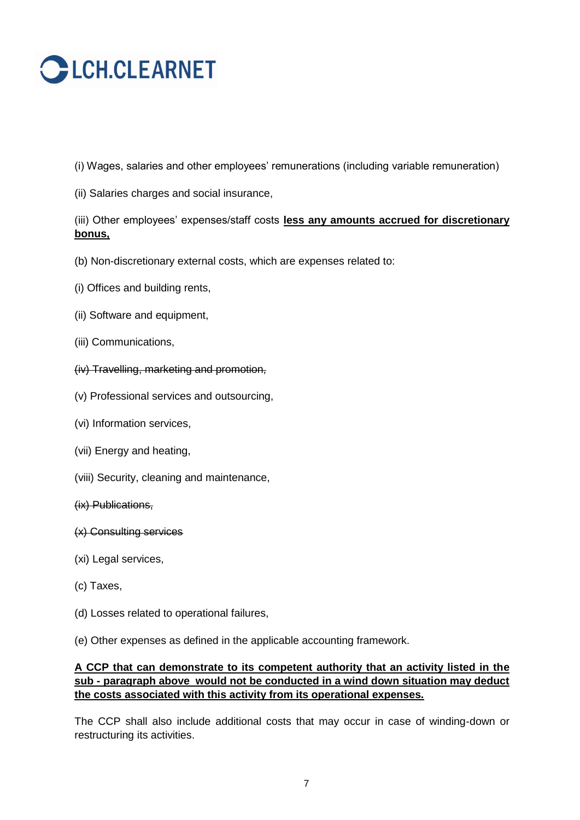# **CECH.CLEARNET**

- (i) Wages, salaries and other employees" remunerations (including variable remuneration)
- (ii) Salaries charges and social insurance,

(iii) Other employees" expenses/staff costs **less any amounts accrued for discretionary bonus,**

- (b) Non-discretionary external costs, which are expenses related to:
- (i) Offices and building rents,
- (ii) Software and equipment,
- (iii) Communications,
- (iv) Travelling, marketing and promotion,
- (v) Professional services and outsourcing,
- (vi) Information services,
- (vii) Energy and heating,
- (viii) Security, cleaning and maintenance,

## (ix) Publications,

- (x) Consulting services
- (xi) Legal services,
- (c) Taxes,
- (d) Losses related to operational failures,
- (e) Other expenses as defined in the applicable accounting framework.

## **A CCP that can demonstrate to its competent authority that an activity listed in the sub - paragraph above would not be conducted in a wind down situation may deduct the costs associated with this activity from its operational expenses.**

The CCP shall also include additional costs that may occur in case of winding-down or restructuring its activities.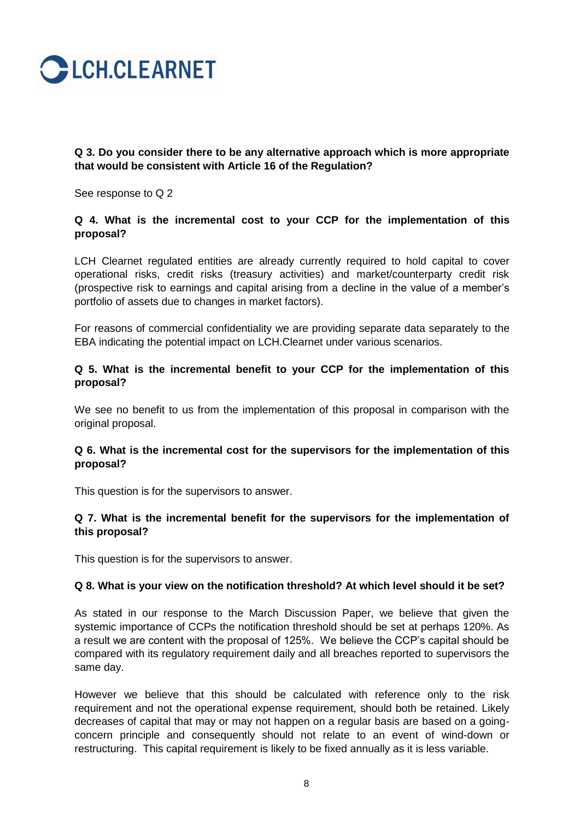

## **Q 3. Do you consider there to be any alternative approach which is more appropriate that would be consistent with Article 16 of the Regulation?**

See response to Q 2

## **Q 4. What is the incremental cost to your CCP for the implementation of this proposal?**

LCH Clearnet regulated entities are already currently required to hold capital to cover operational risks, credit risks (treasury activities) and market/counterparty credit risk (prospective risk to earnings and capital arising from a decline in the value of a member"s portfolio of assets due to changes in market factors).

For reasons of commercial confidentiality we are providing separate data separately to the EBA indicating the potential impact on LCH.Clearnet under various scenarios.

## **Q 5. What is the incremental benefit to your CCP for the implementation of this proposal?**

We see no benefit to us from the implementation of this proposal in comparison with the original proposal.

## **Q 6. What is the incremental cost for the supervisors for the implementation of this proposal?**

This question is for the supervisors to answer.

## **Q 7. What is the incremental benefit for the supervisors for the implementation of this proposal?**

This question is for the supervisors to answer.

## **Q 8. What is your view on the notification threshold? At which level should it be set?**

As stated in our response to the March Discussion Paper, we believe that given the systemic importance of CCPs the notification threshold should be set at perhaps 120%. As a result we are content with the proposal of 125%. We believe the CCP"s capital should be compared with its regulatory requirement daily and all breaches reported to supervisors the same day.

However we believe that this should be calculated with reference only to the risk requirement and not the operational expense requirement, should both be retained. Likely decreases of capital that may or may not happen on a regular basis are based on a goingconcern principle and consequently should not relate to an event of wind-down or restructuring. This capital requirement is likely to be fixed annually as it is less variable.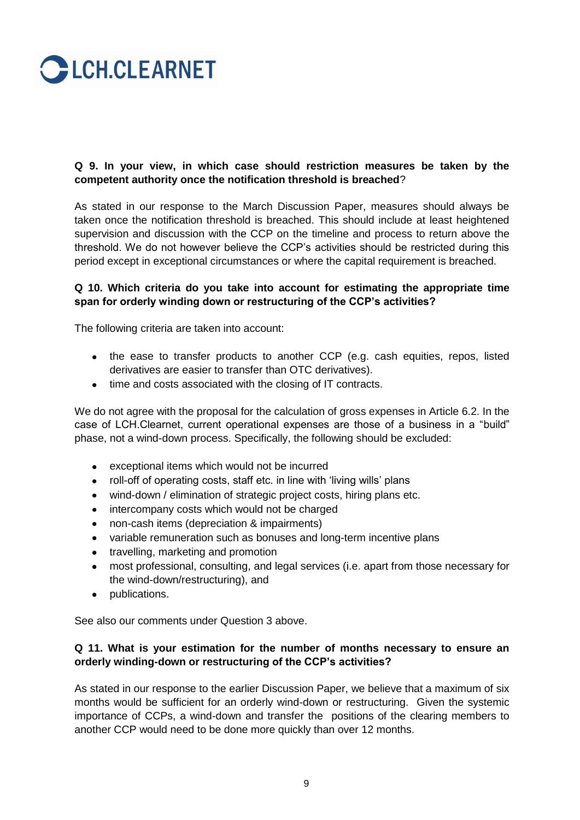

## **Q 9. In your view, in which case should restriction measures be taken by the competent authority once the notification threshold is breached**?

As stated in our response to the March Discussion Paper, measures should always be taken once the notification threshold is breached. This should include at least heightened supervision and discussion with the CCP on the timeline and process to return above the threshold. We do not however believe the CCP"s activities should be restricted during this period except in exceptional circumstances or where the capital requirement is breached.

## **Q 10. Which criteria do you take into account for estimating the appropriate time span for orderly winding down or restructuring of the CCP's activities?**

The following criteria are taken into account:

- the ease to transfer products to another CCP (e.g. cash equities, repos, listed derivatives are easier to transfer than OTC derivatives).
- time and costs associated with the closing of IT contracts.

We do not agree with the proposal for the calculation of gross expenses in Article 6.2. In the case of LCH.Clearnet, current operational expenses are those of a business in a "build" phase, not a wind-down process. Specifically, the following should be excluded:

- exceptional items which would not be incurred  $\bullet$
- roll-off of operating costs, staff etc. in line with "living wills" plans
- wind-down / elimination of strategic project costs, hiring plans etc.
- intercompany costs which would not be charged  $\bullet$
- non-cash items (depreciation & impairments)
- variable remuneration such as bonuses and long-term incentive plans
- travelling, marketing and promotion
- most professional, consulting, and legal services (i.e. apart from those necessary for the wind-down/restructuring), and
- publications.  $\bullet$

See also our comments under Question 3 above.

## **Q 11. What is your estimation for the number of months necessary to ensure an orderly winding-down or restructuring of the CCP's activities?**

As stated in our response to the earlier Discussion Paper, we believe that a maximum of six months would be sufficient for an orderly wind-down or restructuring. Given the systemic importance of CCPs, a wind-down and transfer the positions of the clearing members to another CCP would need to be done more quickly than over 12 months.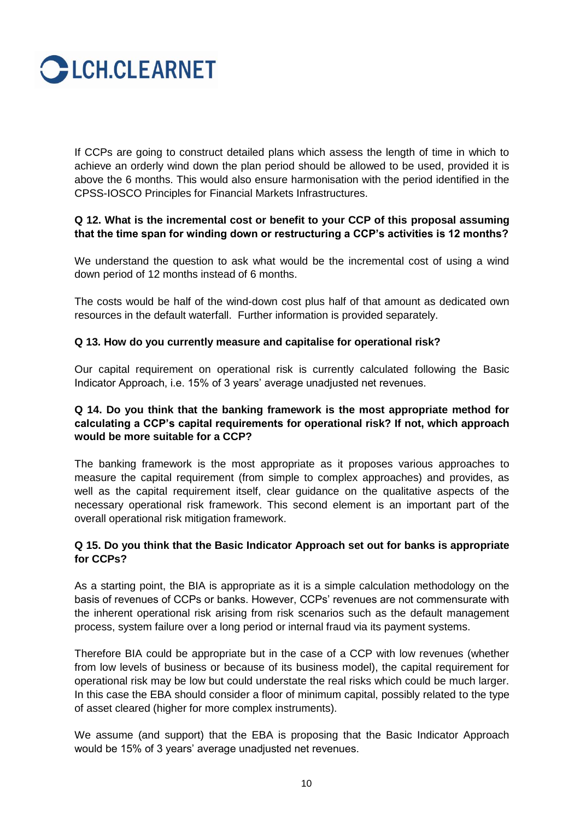

If CCPs are going to construct detailed plans which assess the length of time in which to achieve an orderly wind down the plan period should be allowed to be used, provided it is above the 6 months. This would also ensure harmonisation with the period identified in the CPSS-IOSCO Principles for Financial Markets Infrastructures.

## **Q 12. What is the incremental cost or benefit to your CCP of this proposal assuming that the time span for winding down or restructuring a CCP's activities is 12 months?**

We understand the question to ask what would be the incremental cost of using a wind down period of 12 months instead of 6 months.

The costs would be half of the wind-down cost plus half of that amount as dedicated own resources in the default waterfall. Further information is provided separately.

#### **Q 13. How do you currently measure and capitalise for operational risk?**

Our capital requirement on operational risk is currently calculated following the Basic Indicator Approach, i.e. 15% of 3 years' average unadjusted net revenues.

## **Q 14. Do you think that the banking framework is the most appropriate method for calculating a CCP's capital requirements for operational risk? If not, which approach would be more suitable for a CCP?**

The banking framework is the most appropriate as it proposes various approaches to measure the capital requirement (from simple to complex approaches) and provides, as well as the capital requirement itself, clear guidance on the qualitative aspects of the necessary operational risk framework. This second element is an important part of the overall operational risk mitigation framework.

## **Q 15. Do you think that the Basic Indicator Approach set out for banks is appropriate for CCPs?**

As a starting point, the BIA is appropriate as it is a simple calculation methodology on the basis of revenues of CCPs or banks. However, CCPs" revenues are not commensurate with the inherent operational risk arising from risk scenarios such as the default management process, system failure over a long period or internal fraud via its payment systems.

Therefore BIA could be appropriate but in the case of a CCP with low revenues (whether from low levels of business or because of its business model), the capital requirement for operational risk may be low but could understate the real risks which could be much larger. In this case the EBA should consider a floor of minimum capital, possibly related to the type of asset cleared (higher for more complex instruments).

We assume (and support) that the EBA is proposing that the Basic Indicator Approach would be 15% of 3 years" average unadjusted net revenues.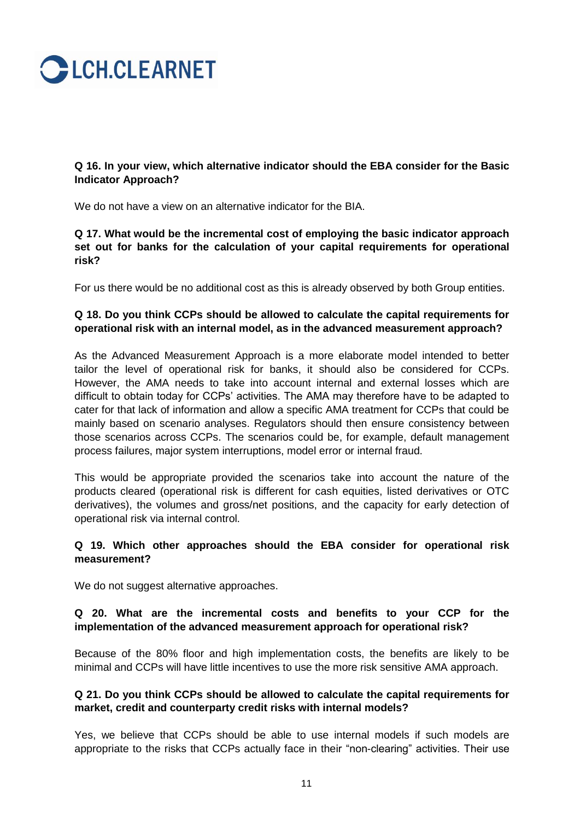

**Q 16. In your view, which alternative indicator should the EBA consider for the Basic Indicator Approach?** 

We do not have a view on an alternative indicator for the BIA.

**Q 17. What would be the incremental cost of employing the basic indicator approach set out for banks for the calculation of your capital requirements for operational risk?** 

For us there would be no additional cost as this is already observed by both Group entities.

## **Q 18. Do you think CCPs should be allowed to calculate the capital requirements for operational risk with an internal model, as in the advanced measurement approach?**

As the Advanced Measurement Approach is a more elaborate model intended to better tailor the level of operational risk for banks, it should also be considered for CCPs. However, the AMA needs to take into account internal and external losses which are difficult to obtain today for CCPs" activities. The AMA may therefore have to be adapted to cater for that lack of information and allow a specific AMA treatment for CCPs that could be mainly based on scenario analyses. Regulators should then ensure consistency between those scenarios across CCPs. The scenarios could be, for example, default management process failures, major system interruptions, model error or internal fraud.

This would be appropriate provided the scenarios take into account the nature of the products cleared (operational risk is different for cash equities, listed derivatives or OTC derivatives), the volumes and gross/net positions, and the capacity for early detection of operational risk via internal control.

## **Q 19. Which other approaches should the EBA consider for operational risk measurement?**

We do not suggest alternative approaches.

## **Q 20. What are the incremental costs and benefits to your CCP for the implementation of the advanced measurement approach for operational risk?**

Because of the 80% floor and high implementation costs, the benefits are likely to be minimal and CCPs will have little incentives to use the more risk sensitive AMA approach.

## **Q 21. Do you think CCPs should be allowed to calculate the capital requirements for market, credit and counterparty credit risks with internal models?**

Yes, we believe that CCPs should be able to use internal models if such models are appropriate to the risks that CCPs actually face in their "non-clearing" activities. Their use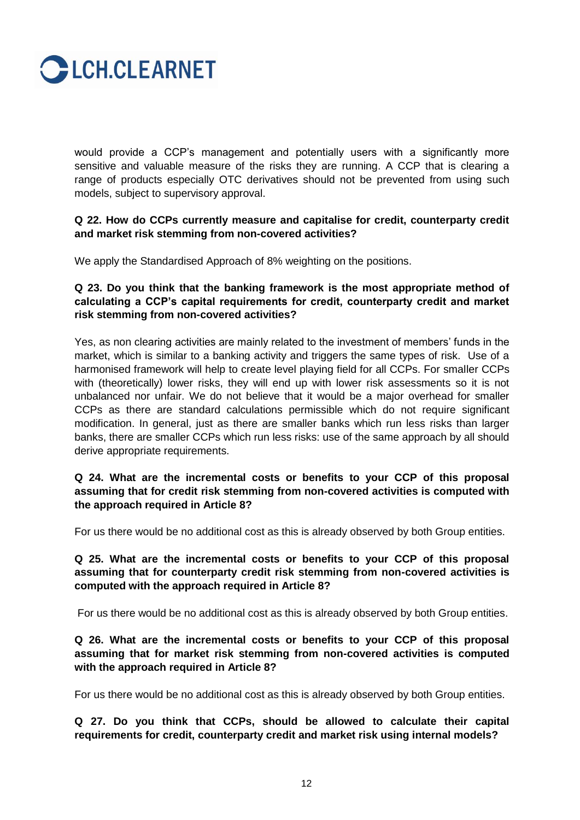

would provide a CCP"s management and potentially users with a significantly more sensitive and valuable measure of the risks they are running. A CCP that is clearing a range of products especially OTC derivatives should not be prevented from using such models, subject to supervisory approval.

## **Q 22. How do CCPs currently measure and capitalise for credit, counterparty credit and market risk stemming from non-covered activities?**

We apply the Standardised Approach of 8% weighting on the positions.

**Q 23. Do you think that the banking framework is the most appropriate method of calculating a CCP's capital requirements for credit, counterparty credit and market risk stemming from non-covered activities?**

Yes, as non clearing activities are mainly related to the investment of members" funds in the market, which is similar to a banking activity and triggers the same types of risk. Use of a harmonised framework will help to create level playing field for all CCPs. For smaller CCPs with (theoretically) lower risks, they will end up with lower risk assessments so it is not unbalanced nor unfair. We do not believe that it would be a major overhead for smaller CCPs as there are standard calculations permissible which do not require significant modification. In general, just as there are smaller banks which run less risks than larger banks, there are smaller CCPs which run less risks: use of the same approach by all should derive appropriate requirements.

## **Q 24. What are the incremental costs or benefits to your CCP of this proposal assuming that for credit risk stemming from non-covered activities is computed with the approach required in Article 8?**

For us there would be no additional cost as this is already observed by both Group entities.

**Q 25. What are the incremental costs or benefits to your CCP of this proposal assuming that for counterparty credit risk stemming from non-covered activities is computed with the approach required in Article 8?**

For us there would be no additional cost as this is already observed by both Group entities.

**Q 26. What are the incremental costs or benefits to your CCP of this proposal assuming that for market risk stemming from non-covered activities is computed with the approach required in Article 8?**

For us there would be no additional cost as this is already observed by both Group entities.

**Q 27. Do you think that CCPs, should be allowed to calculate their capital requirements for credit, counterparty credit and market risk using internal models?**